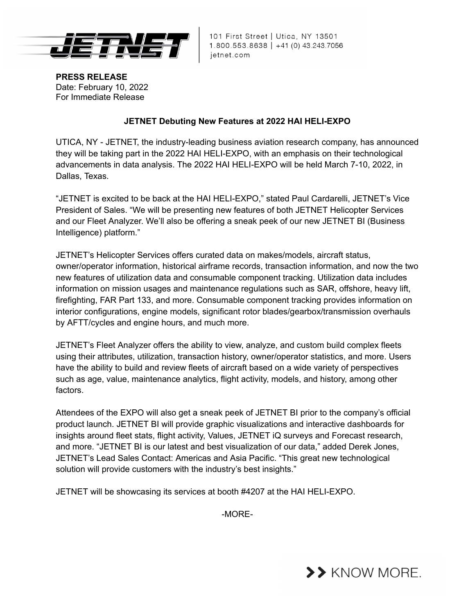

101 First Street | Utica, NY 13501 1.800.553.8638 | +41 (0) 43.243.7056 jetnet.com

**PRESS RELEASE** Date: February 10, 2022 For Immediate Release

## **JETNET Debuting New Features at 2022 HAI HELI-EXPO**

UTICA, NY - JETNET, the industry-leading business aviation research company, has announced they will be taking part in the 2022 HAI HELI-EXPO, with an emphasis on their technological advancements in data analysis. The 2022 HAI HELI-EXPO will be held March 7-10, 2022, in Dallas, Texas.

"JETNET is excited to be back at the HAI HELI-EXPO," stated Paul Cardarelli, JETNET's Vice President of Sales. "We will be presenting new features of both JETNET Helicopter Services and our Fleet Analyzer. We'll also be offering a sneak peek of our new JETNET BI (Business Intelligence) platform."

JETNET's Helicopter Services offers curated data on makes/models, aircraft status, owner/operator information, historical airframe records, transaction information, and now the two new features of utilization data and consumable component tracking. Utilization data includes information on mission usages and maintenance regulations such as SAR, offshore, heavy lift, firefighting, FAR Part 133, and more. Consumable component tracking provides information on interior configurations, engine models, significant rotor blades/gearbox/transmission overhauls by AFTT/cycles and engine hours, and much more.

JETNET's Fleet Analyzer offers the ability to view, analyze, and custom build complex fleets using their attributes, utilization, transaction history, owner/operator statistics, and more. Users have the ability to build and review fleets of aircraft based on a wide variety of perspectives such as age, value, maintenance analytics, flight activity, models, and history, among other factors.

Attendees of the EXPO will also get a sneak peek of JETNET BI prior to the company's official product launch. JETNET BI will provide graphic visualizations and interactive dashboards for insights around fleet stats, flight activity, Values, JETNET iQ surveys and Forecast research, and more. "JETNET BI is our latest and best visualization of our data," added Derek Jones, JETNET's Lead Sales Contact: Americas and Asia Pacific. "This great new technological solution will provide customers with the industry's best insights."

JETNET will be showcasing its services at booth #4207 at the HAI HELI-EXPO.

-MORE-